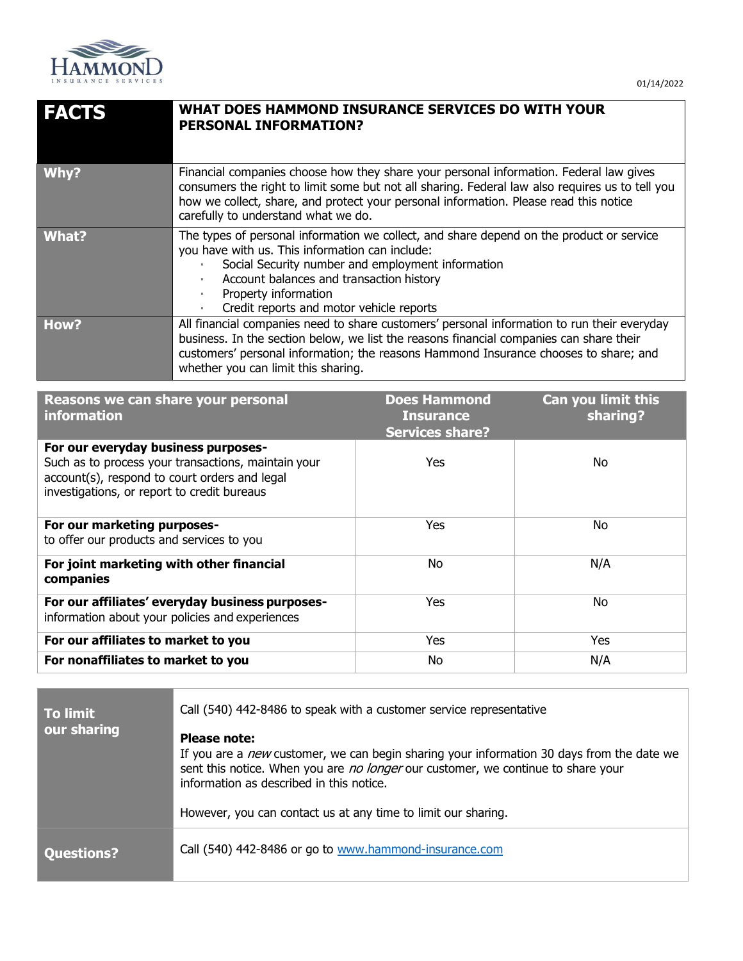

| <b>FACTS</b> | <b>WHAT DOES HAMMOND INSURANCE SERVICES DO WITH YOUR</b><br><b>PERSONAL INFORMATION?</b>                                                                                                                                                                                                                                  |
|--------------|---------------------------------------------------------------------------------------------------------------------------------------------------------------------------------------------------------------------------------------------------------------------------------------------------------------------------|
| Why?         | Financial companies choose how they share your personal information. Federal law gives<br>consumers the right to limit some but not all sharing. Federal law also requires us to tell you<br>how we collect, share, and protect your personal information. Please read this notice<br>carefully to understand what we do. |
| What?        | The types of personal information we collect, and share depend on the product or service<br>you have with us. This information can include:<br>Social Security number and employment information<br>Account balances and transaction history<br>Property information<br>Credit reports and motor vehicle reports          |
| How?         | All financial companies need to share customers' personal information to run their everyday<br>business. In the section below, we list the reasons financial companies can share their<br>customers' personal information; the reasons Hammond Insurance chooses to share; and<br>whether you can limit this sharing.     |

| Reasons we can share your personal<br><b>information</b>                                                                                                                                   | <b>Does Hammond</b><br><b>Insurance</b><br><b>Services share?</b> | <b>Can you limit this</b><br>sharing? |
|--------------------------------------------------------------------------------------------------------------------------------------------------------------------------------------------|-------------------------------------------------------------------|---------------------------------------|
| For our everyday business purposes-<br>Such as to process your transactions, maintain your<br>account(s), respond to court orders and legal<br>investigations, or report to credit bureaus | <b>Yes</b>                                                        | No                                    |
| For our marketing purposes-<br>to offer our products and services to you                                                                                                                   | <b>Yes</b>                                                        | <b>No</b>                             |
| For joint marketing with other financial<br>companies                                                                                                                                      | No.                                                               | N/A                                   |
| For our affiliates' everyday business purposes-<br>information about your policies and experiences                                                                                         | <b>Yes</b>                                                        | <b>No</b>                             |
| For our affiliates to market to you                                                                                                                                                        | <b>Yes</b>                                                        | Yes                                   |
| For nonaffiliates to market to you                                                                                                                                                         | No                                                                | N/A                                   |

| <b>To limit</b><br>our sharing | Call (540) 442-8486 to speak with a customer service representative                                                          |
|--------------------------------|------------------------------------------------------------------------------------------------------------------------------|
|                                | Please note:<br>If you are a <i>new</i> customer, we can begin sharing your information 30 days from the date we             |
|                                | sent this notice. When you are no longer our customer, we continue to share your<br>information as described in this notice. |
|                                | However, you can contact us at any time to limit our sharing.                                                                |
| <b>Questions?</b>              | Call (540) 442-8486 or go to www.hammond-insurance.com                                                                       |
|                                |                                                                                                                              |